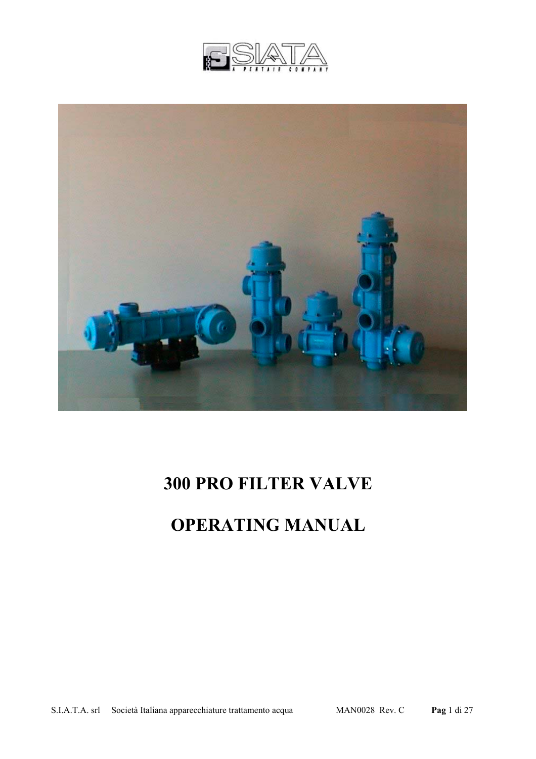



# **300 PRO FILTER VALVE**

# **OPERATING MANUAL**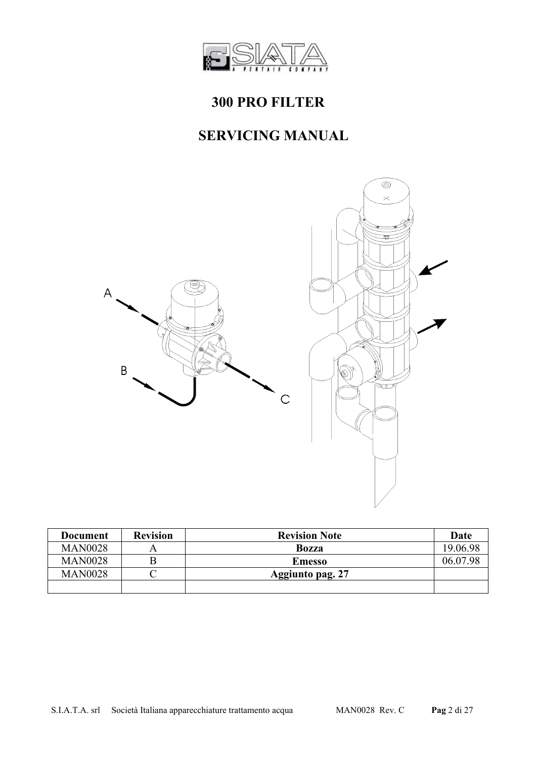

# **300 PRO FILTER**

# **SERVICING MANUAL**



| Document       | <b>Revision</b> | <b>Revision Note</b> | Date     |
|----------------|-----------------|----------------------|----------|
| <b>MAN0028</b> |                 | <b>Bozza</b>         | 19.06.98 |
| <b>MAN0028</b> |                 | <b>Emesso</b>        | 06 07 98 |
| <b>MAN0028</b> |                 | Aggiunto pag. 27     |          |
|                |                 |                      |          |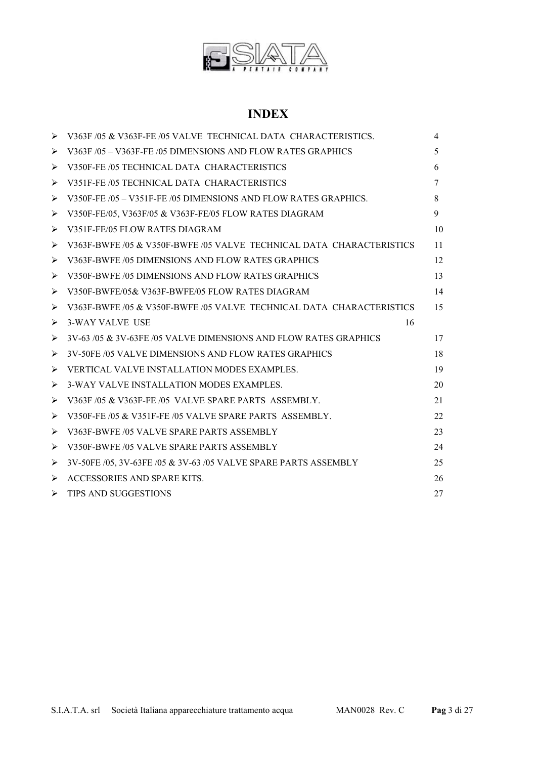

#### **INDEX**

| ⋗ | V363F /05 & V363F-FE /05 VALVE TECHNICAL DATA CHARACTERISTICS.       | $\overline{4}$ |
|---|----------------------------------------------------------------------|----------------|
| ⋗ | V363F /05 - V363F-FE /05 DIMENSIONS AND FLOW RATES GRAPHICS          | 5              |
| ⋗ | V350F-FE /05 TECHNICAL DATA CHARACTERISTICS                          | 6              |
| ⋗ | V351F-FE /05 TECHNICAL DATA CHARACTERISTICS                          | 7              |
| ⋗ | V350F-FE /05 - V351F-FE /05 DIMENSIONS AND FLOW RATES GRAPHICS.      | 8              |
| ➤ | V350F-FE/05, V363F/05 & V363F-FE/05 FLOW RATES DIAGRAM               | 9              |
| ➤ | V351F-FE/05 FLOW RATES DIAGRAM                                       | 10             |
| ⋗ | V363F-BWFE /05 & V350F-BWFE /05 VALVE TECHNICAL DATA CHARACTERISTICS | 11             |
| ⋗ | V363F-BWFE /05 DIMENSIONS AND FLOW RATES GRAPHICS                    | 12             |
| ⋗ | V350F-BWFE /05 DIMENSIONS AND FLOW RATES GRAPHICS                    | 13             |
| ➤ | V350F-BWFE/05& V363F-BWFE/05 FLOW RATES DIAGRAM                      | 14             |
| ⋗ | V363F-BWFE /05 & V350F-BWFE /05 VALVE TECHNICAL DATA CHARACTERISTICS | 15             |
| ➤ | <b>3-WAY VALVE USE</b><br>16                                         |                |
| ➤ | 3V-63/05 & 3V-63FE/05 VALVE DIMENSIONS AND FLOW RATES GRAPHICS       | 17             |
| ⋗ | 3V-50FE/05 VALVE DIMENSIONS AND FLOW RATES GRAPHICS                  | 18             |
| ⋗ | VERTICAL VALVE INSTALLATION MODES EXAMPLES.                          | 19             |
| ⋗ | 3-WAY VALVE INSTALLATION MODES EXAMPLES.                             | 20             |
| ➤ | V363F/05 & V363F-FE/05 VALVE SPARE PARTS ASSEMBLY.                   | 21             |
| ⋗ | V350F-FE /05 & V351F-FE /05 VALVE SPARE PARTS ASSEMBLY.              | 22             |
| ⋗ | V363F-BWFE /05 VALVE SPARE PARTS ASSEMBLY                            | 23             |
| ➤ | V350F-BWFE /05 VALVE SPARE PARTS ASSEMBLY                            | 24             |
| ➤ | 3V-50FE /05, 3V-63FE /05 & 3V-63 /05 VALVE SPARE PARTS ASSEMBLY      | 25             |
| ➤ | ACCESSORIES AND SPARE KITS.                                          | 26             |
| ➤ | <b>TIPS AND SUGGESTIONS</b>                                          | 27             |
|   |                                                                      |                |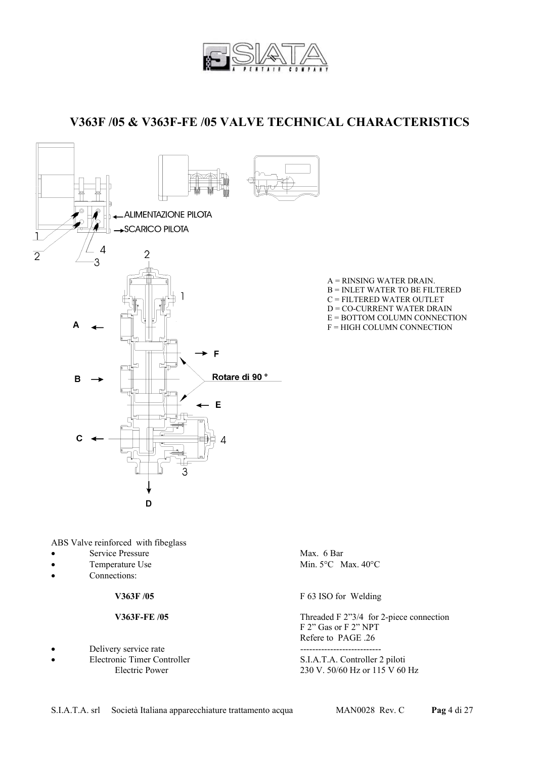

 **V363F /05 & V363F-FE /05 VALVE TECHNICAL CHARACTERISTICS** 



A = RINSING WATER DRAIN. B = INLET WATER TO BE FILTERED C = FILTERED WATER OUTLET D = CO-CURRENT WATER DRAIN E = BOTTOM COLUMN CONNECTION F = HIGH COLUMN CONNECTION

ABS Valve reinforced with fibeglass

- Service Pressure Max. 6 Bar
- 
- Connections:

- Delivery service rate
- 

Temperature Use Min. 5°C Max. 40°C

**V363F /05** F 63 ISO for Welding

**V363F-FE /05** Threaded F 2"3/4 for 2-piece connection F 2" Gas or F 2" NPT Refere to PAGE .26

• Electronic Timer Controller S.I.A.T.A. Controller 2 piloti Electric Power 230 V.  $50/60$  Hz or  $115$  V 60 Hz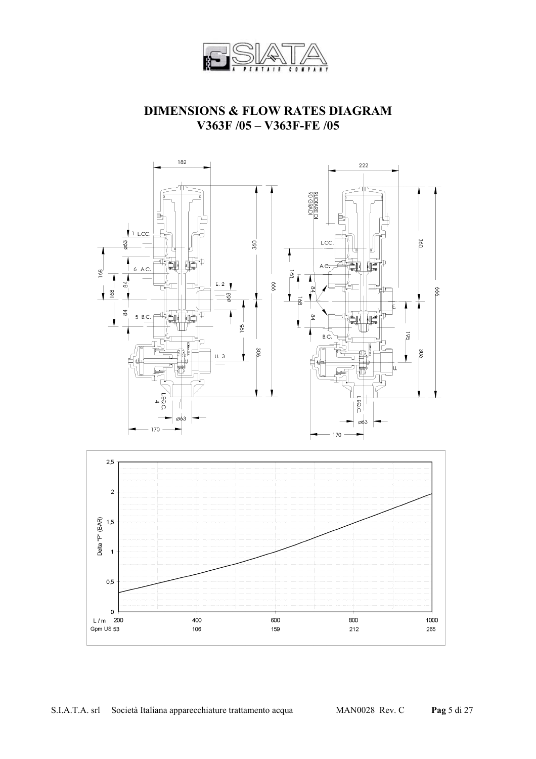

#### **DIMENSIONS & FLOW RATES DIAGRAM V363F /05 – V363F-FE /05**

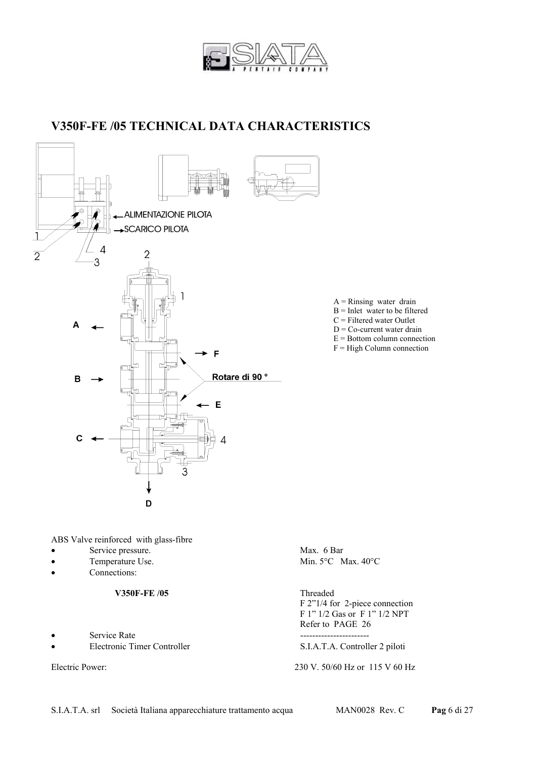

### **V350F-FE /05 TECHNICAL DATA CHARACTERISTICS**



- $A =$ Rinsing water drain  $B =$  Inlet water to be filtered
- C = Filtered water Outlet
- $D = Co$ -current water drain
- $E =$  Bottom column connection
- F = High Column connection

ABS Valve reinforced with glass-fibre

- Service pressure. Max. 6 Bar
- 
- Connections:

#### V350F-FE /05 Threaded

- Service Rate **--------------------------------**
- 

Temperature Use. Min. 5°C Max. 40°C

 F 2"1/4 for 2-piece connection F 1" 1/2 Gas or F 1" 1/2 NPT Refer to PAGE 26

• Electronic Timer Controller S.I.A.T.A. Controller 2 piloti

Electric Power: 230 V. 50/60 Hz or 115 V 60 Hz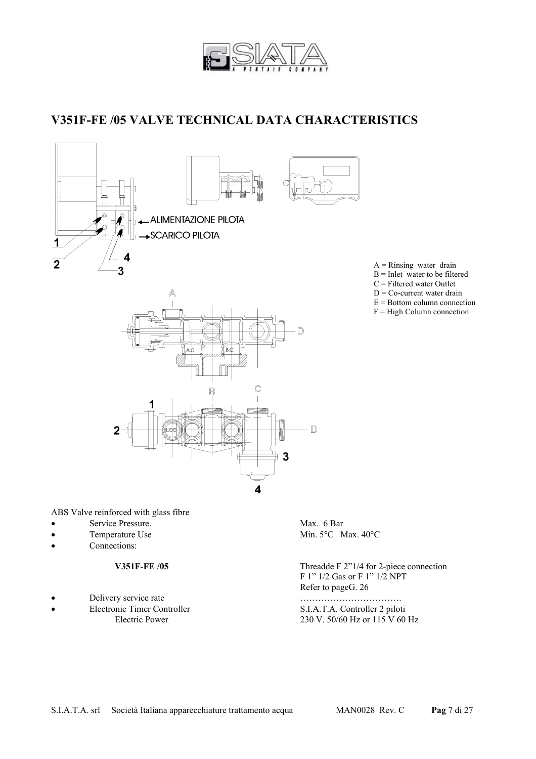

### **V351F-FE /05 VALVE TECHNICAL DATA CHARACTERISTICS**



ABS Valve reinforced with glass fibre

- Service Pressure. Max. 6 Bar
- 
- Connections:

- Delivery service rate measurements with the measurement of the measurement of the measurement of the measurement of the measurement of the measurement of the measurement of the measurement of the measurement of the measure
- 

Temperature Use Min. 5°C Max. 40°C

**V351F-FE /05** Threadde F 2"1/4 for 2-piece connection F 1" 1/2 Gas or F 1" 1/2 NPT Refer to pageG. 26

• Electronic Timer Controller S.I.A.T.A. Controller 2 piloti 230 V. 50/60 Hz or 115 V 60 Hz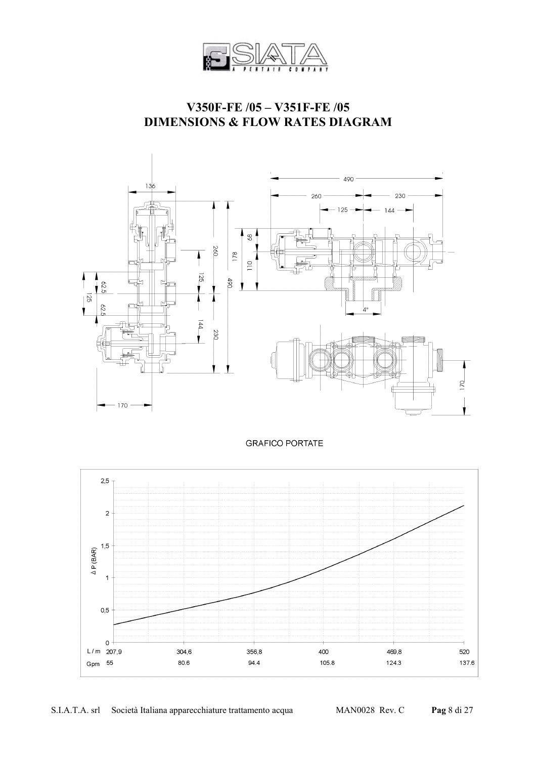

### **V350F-FE /05 – V351F-FE /05 DIMENSIONS & FLOW RATES DIAGRAM**



**GRAFICO PORTATE** 

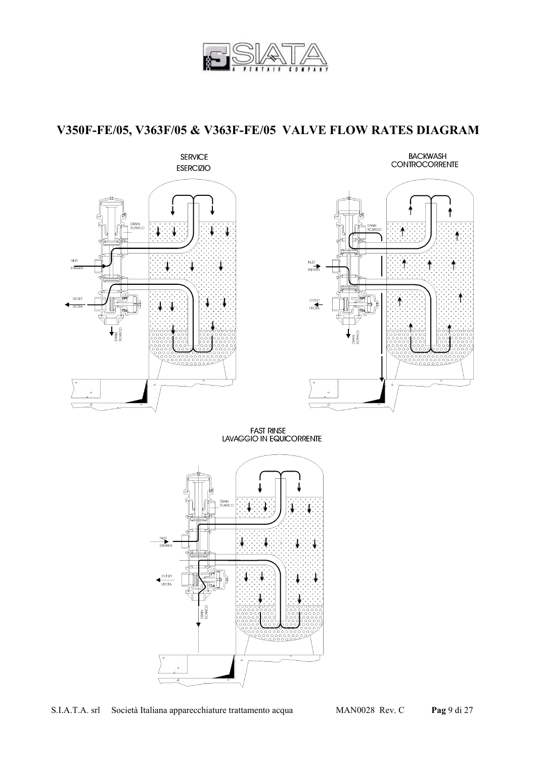

## **V350F-FE/05, V363F/05 & V363F-FE/05 VALVE FLOW RATES DIAGRAM**



# BACKWASH<br>CONTROCORRENTE



FAST RINSE<br>LAVAGGIO IN EQUICORRENTE

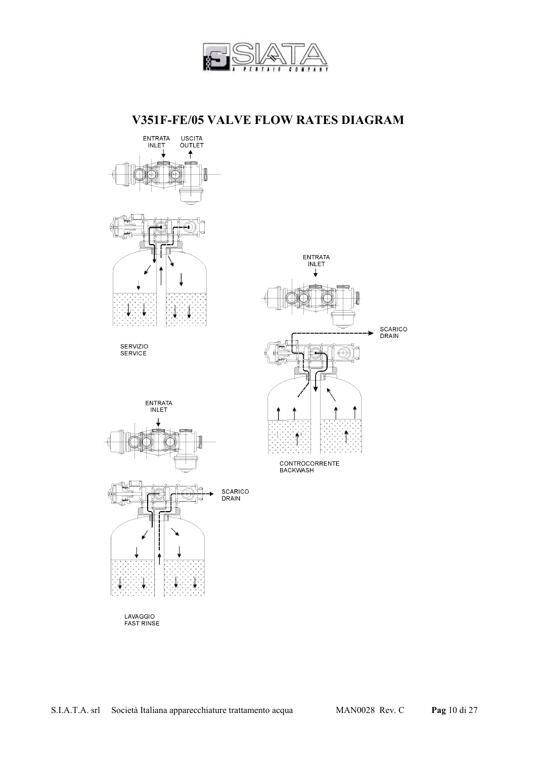

#### **V351F-FE/05 VALVE FLOW RATES DIAGRAM**

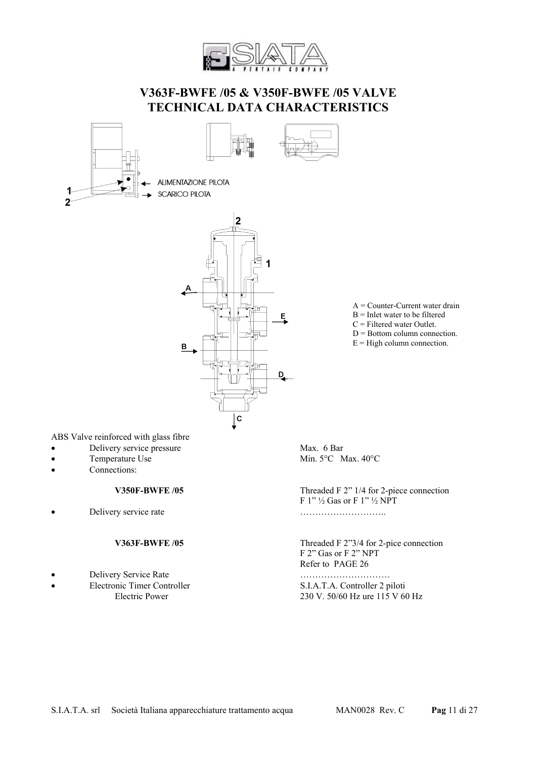

#### **V363F-BWFE /05 & V350F-BWFE /05 VALVE TECHNICAL DATA CHARACTERISTICS**





ALIMENTAZIONE PILOTA **SCARICO PILOTA** 



A = Counter-Current water drain

- $B =$  Inlet water to be filtered
- $C =$  Filtered water Outlet.
- D = Bottom column connection.
- $E =$ High column connection.

ABS Valve reinforced with glass fibre

- **Delivery service pressure** Max. 6 Bar
- 
- Connections:

Delivery service rate measurements with the contract of the contract of the contract of the contract of the contract of the contract of the contract of the contract of the contract of the contract of the contract of the co

- Delivery Service Rate …………………………
- 

Temperature Use Min. 5°C Max. 40°C

**V350F-BWFE /05** Threaded F 2" 1/4 for 2-piece connection F  $1''$   $\frac{1}{2}$  Gas or F  $1''$   $\frac{1}{2}$  NPT

**V363F-BWFE /05** Threaded F 2"3/4 for 2-pice connection F 2" Gas or F 2" NPT Refer to PAGE 26

• Electronic Timer Controller S.I.A.T.A. Controller 2 piloti Electric Power 230 V. 50/60 Hz ure 115 V 60 Hz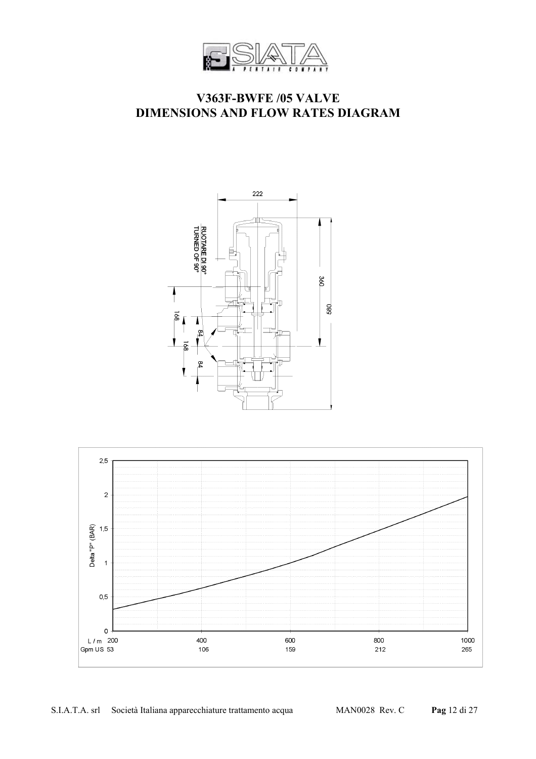

#### **V363F-BWFE /05 VALVE DIMENSIONS AND FLOW RATES DIAGRAM**



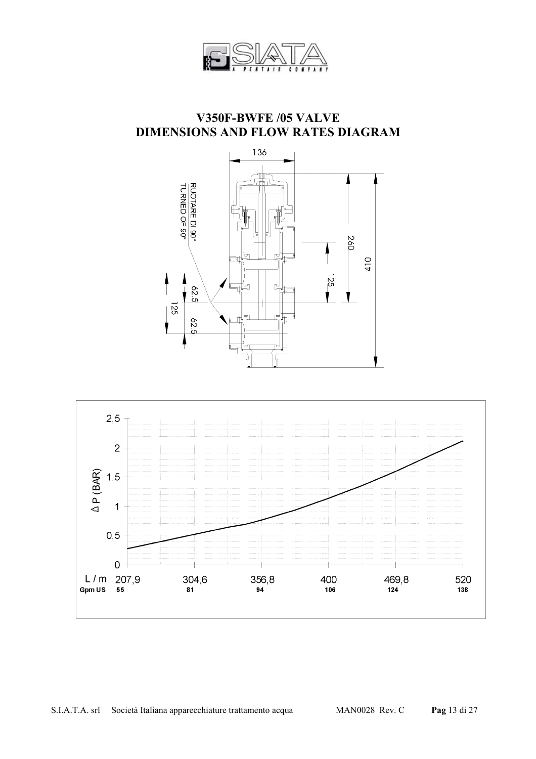

#### **V350F-BWFE /05 VALVE DIMENSIONS AND FLOW RATES DIAGRAM**



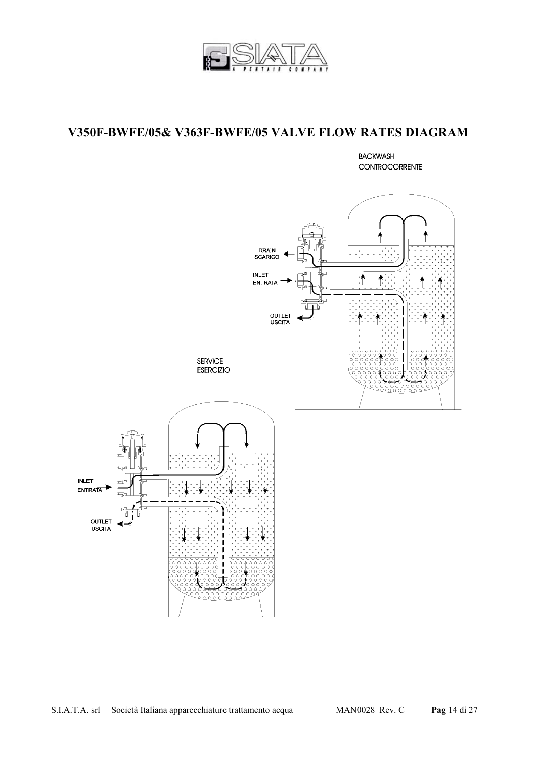

#### **V350F-BWFE/05& V363F-BWFE/05 VALVE FLOW RATES DIAGRAM**

**BACKWASH** CONTROCORRENTE

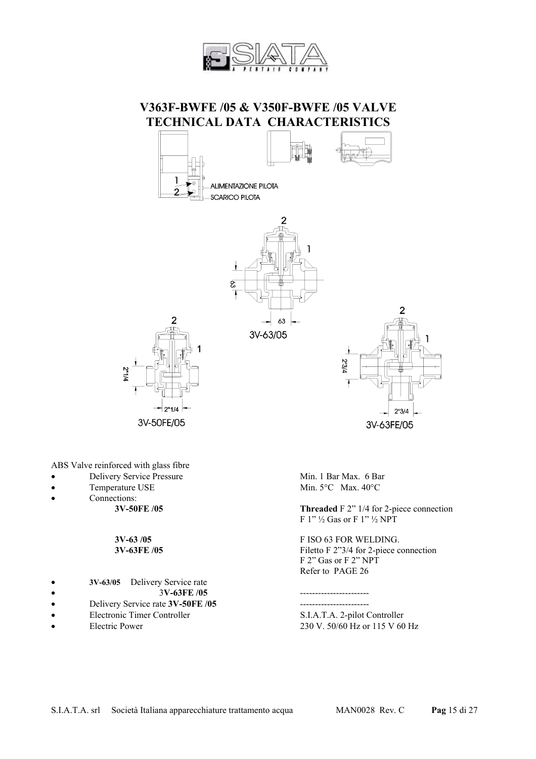

#### **V363F-BWFE /05 & V350F-BWFE /05 VALVE TECHNICAL DATA CHARACTERISTICS**



63

3V-63/05



ABS Valve reinforced with glass fibre

- Delivery Service Pressure Min. 1 Bar Max. 6 Bar
- 
- 
- Connections:<br>3V-50FE /05

- **3V-63/05** Delivery Service rate
- 
- Delivery Service rate **3V-50FE /05** -----------------------
- 
- 

3V-63FE/05

Temperature USE Min. 5°C Max. 40°C

 $7/8<sub>n</sub>$ 

**Threaded** F 2" 1/4 for 2-piece connection F  $1''$   $\frac{1}{2}$  Gas or F  $1''$   $\frac{1}{2}$  NPT

 $\overline{2}$ 

 $2^{\circ}3/4$ 

**3V-63 /05** F ISO 63 FOR WELDING. **3V-63FE /05** Filetto F 2"3/4 for 2-piece connection F 2" Gas or F 2" NPT Refer to PAGE 26

• 3**V-63FE /05** -----------------------

• Electronic Timer Controller S.I.A.T.A. 2-pilot Controller • Electric Power 230 V. 50/60 Hz or 115 V 60 Hz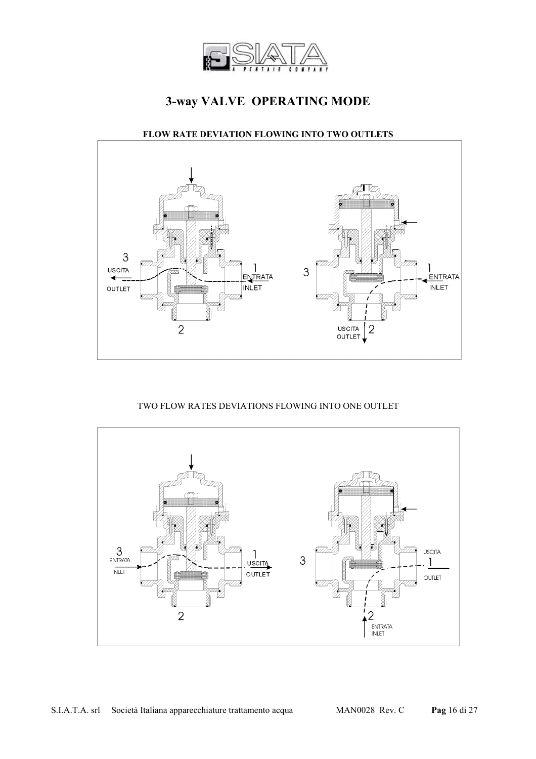

## **3-way VALVE OPERATING MODE**

#### **FLOW RATE DEVIATION FLOWING INTO TWO OUTLETS**



#### TWO FLOW RATES DEVIATIONS FLOWING INTO ONE OUTLET

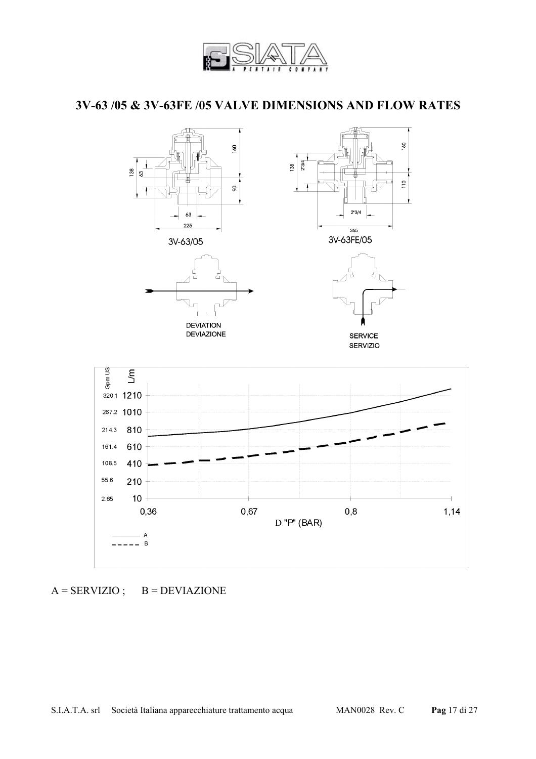

### **3V-63 /05 & 3V-63FE /05 VALVE DIMENSIONS AND FLOW RATES**



 $A = SERVIZIO; B = DEVIAZIONE$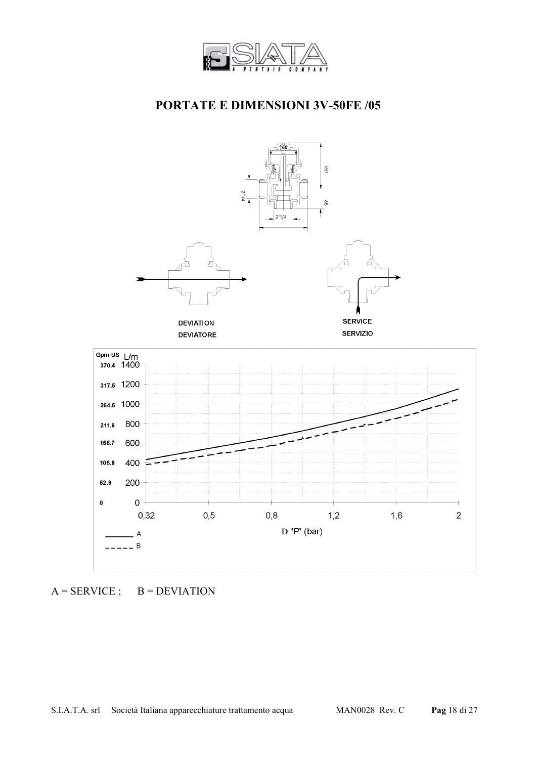

### **PORTATE E DIMENSIONI 3V-50FE /05**



 $A =$  SERVICE ;  $B =$  DEVIATION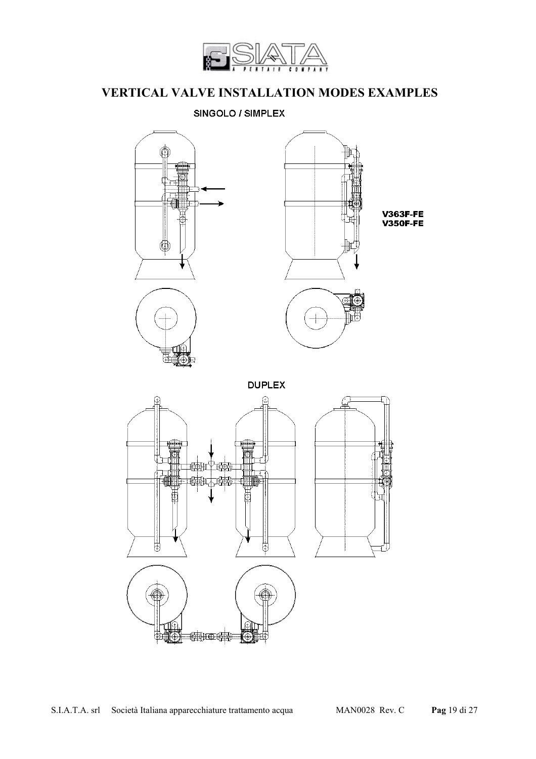

# **VERTICAL VALVE INSTALLATION MODES EXAMPLES**

SINGOLO / SIMPLEX

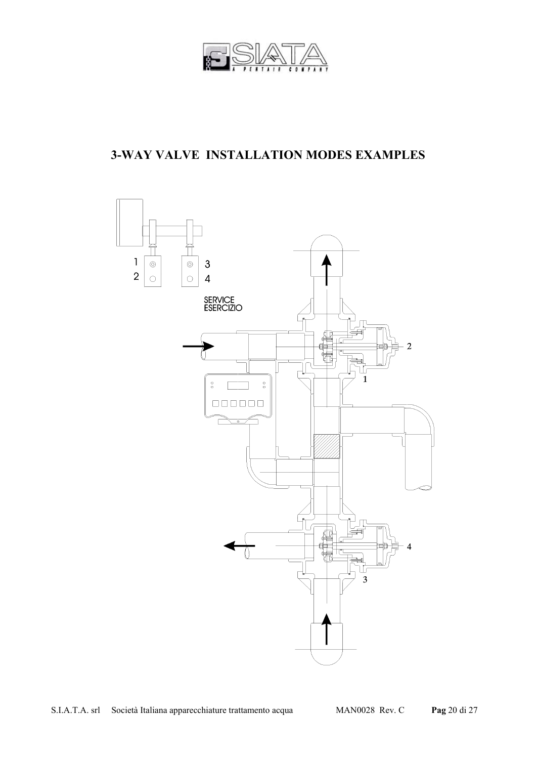

# **3-WAY VALVE INSTALLATION MODES EXAMPLES**

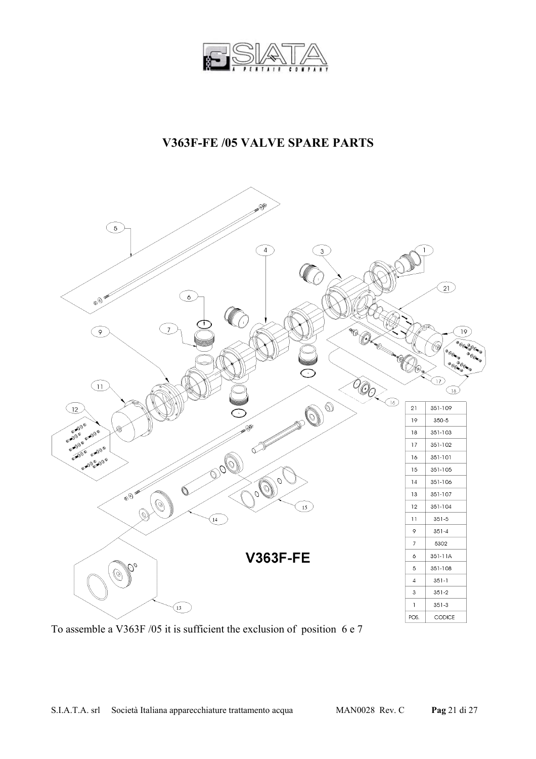

### **V363F-FE /05 VALVE SPARE PARTS**



To assemble a V363F /05 it is sufficient the exclusion of position 6 e 7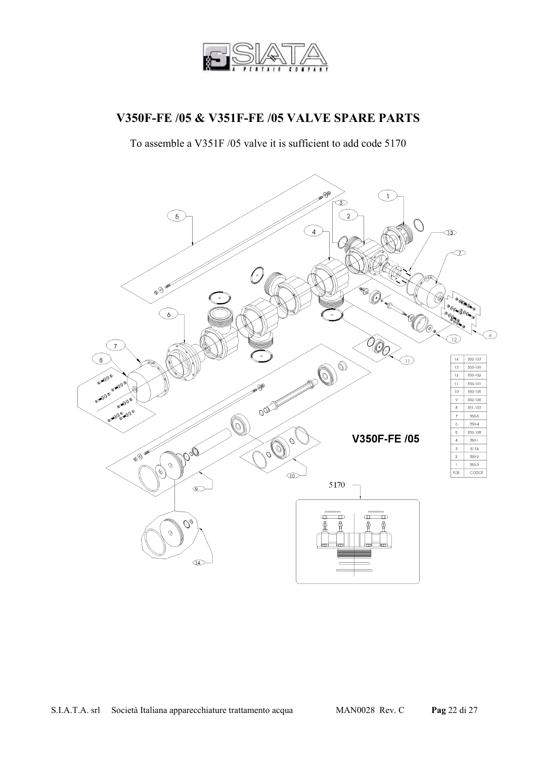

#### **V350F-FE /05 & V351F-FE /05 VALVE SPARE PARTS**

To assemble a V351F /05 valve it is sufficient to add code 5170

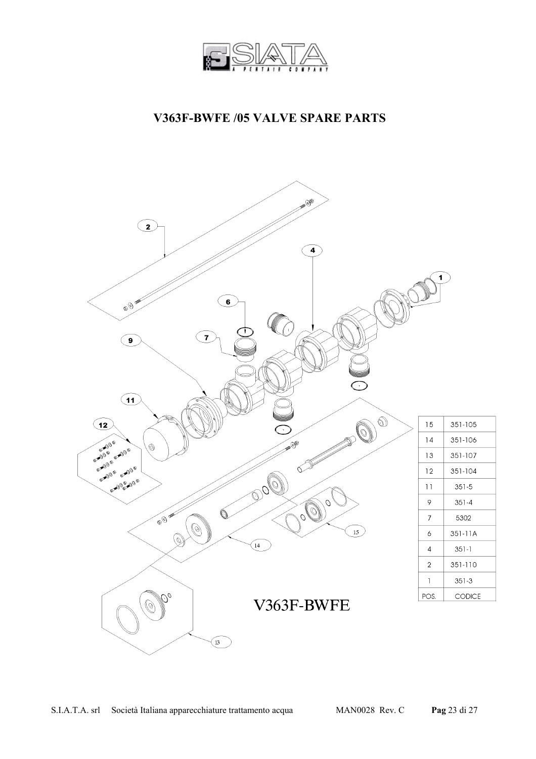

### **V363F-BWFE /05 VALVE SPARE PARTS**

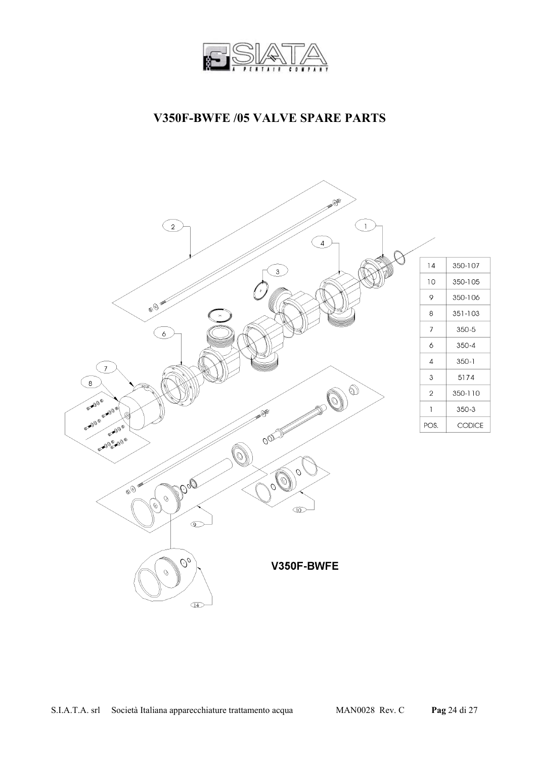

### **V350F-BWFE /05 VALVE SPARE PARTS**

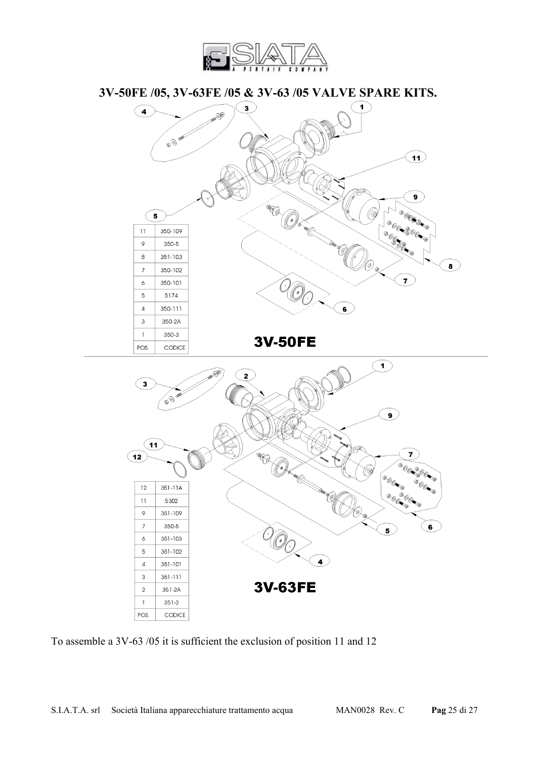

**3V-50FE /05, 3V-63FE /05 & 3V-63 /05 VALVE SPARE KITS.** 



To assemble a 3V-63 /05 it is sufficient the exclusion of position 11 and 12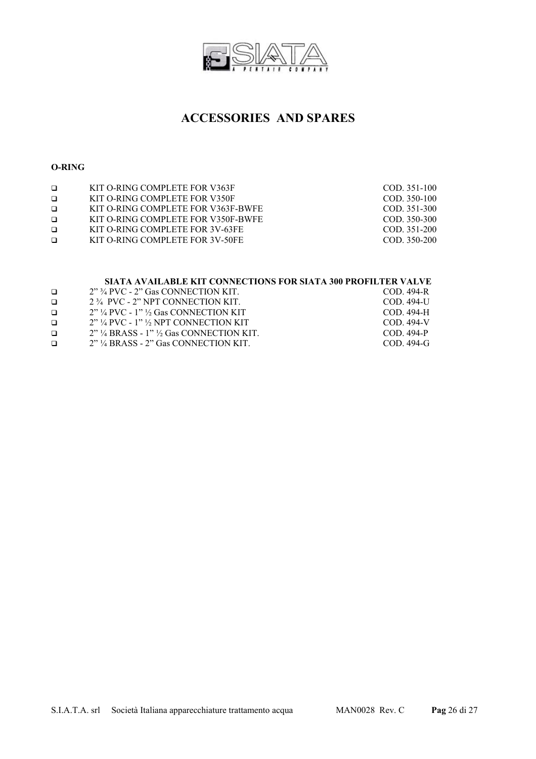

### **ACCESSORIES AND SPARES**

#### **O-RING**

| $\Box$ | KIT O-RING COMPLETE FOR V363F      | COD. 351-100   |
|--------|------------------------------------|----------------|
| $\Box$ | KIT O-RING COMPLETE FOR V350F      | $COD. 350-100$ |
| $\Box$ | KIT O-RING COMPLETE FOR V363F-BWFE | $COD. 351-300$ |
| $\Box$ | KIT O-RING COMPLETE FOR V350F-BWFE | COD. 350-300   |
| $\Box$ | KIT O-RING COMPLETE FOR 3V-63FE    | COD. 351-200   |
| $\Box$ | KIT O-RING COMPLETE FOR 3V-50FE    | COD. 350-200   |
|        |                                    |                |

#### **SIATA AVAILABLE KIT CONNECTIONS FOR SIATA 300 PROFILTER VALVE**

| $\Box$ | $2"$ $\frac{3}{4}$ PVC - $2"$ Gas CONNECTION KIT.  | COD. 494-R  |
|--------|----------------------------------------------------|-------------|
| $\Box$ | 2 3/4 PVC - 2" NPT CONNECTION KIT                  | COD. 494-U  |
| $\Box$ | $2"$ ¼ PVC - 1" ½ Gas CONNECTION KIT               | COD. 494-H  |
| $\Box$ | $2"$ ¼ PVC - 1" ½ NPT CONNECTION KIT               | COD 494-V   |
| $\Box$ | $2"$ ¼ BRASS - 1" ½ Gas CONNECTION KIT             | COD 494-P   |
| $\Box$ | $2"$ $\frac{1}{4}$ BRASS - $2"$ Gas CONNECTION KIT | $COD$ 494-G |